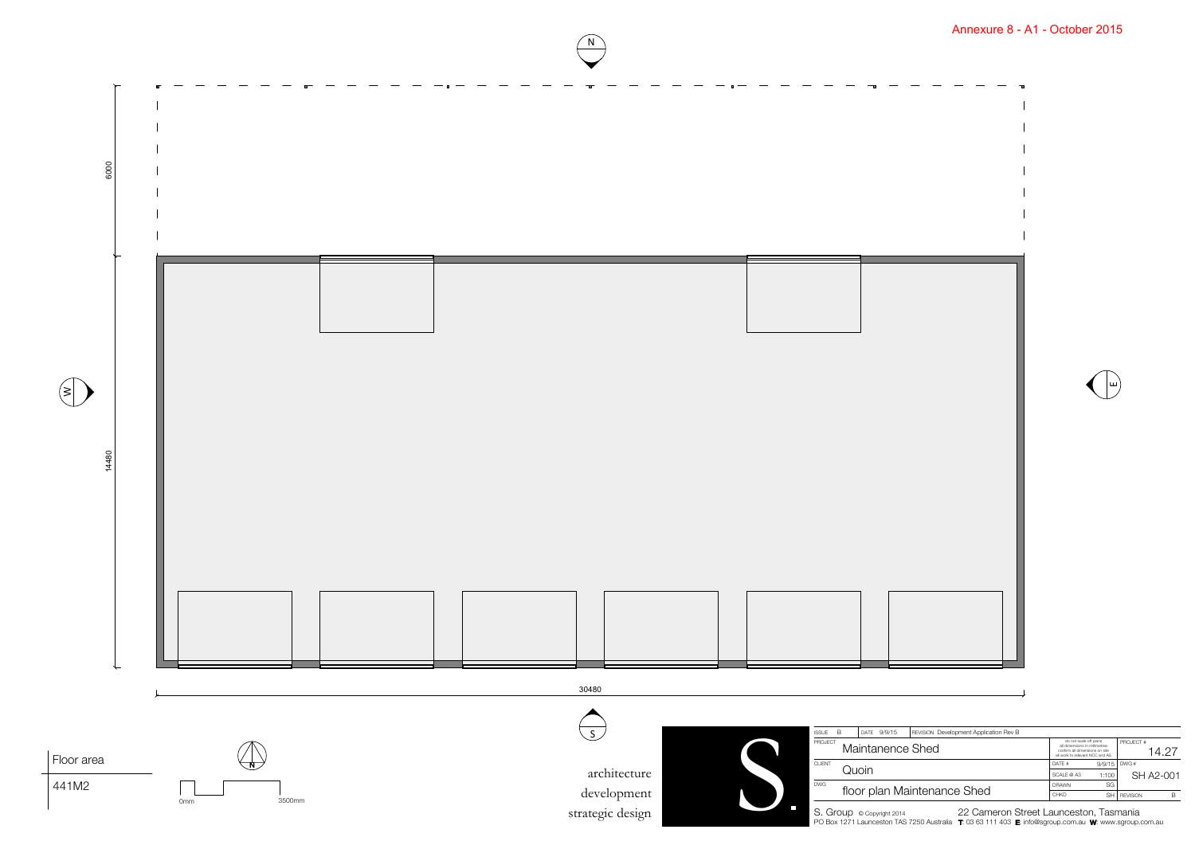

|                  | REVISION Development Application Rev B |                                                                                                                              |        |                    |           |  |
|------------------|----------------------------------------|------------------------------------------------------------------------------------------------------------------------------|--------|--------------------|-----------|--|
|                  | e Shed                                 | do not scale off plans<br>all dimensions in millimetres<br>confirm all dimensions on site<br>all work to relevant NCC and AS |        | PROJECT #<br>14 27 |           |  |
|                  |                                        | DATF#                                                                                                                        | 9/9/15 | DWG#               |           |  |
|                  |                                        | SCALE @ A3                                                                                                                   | 1:100  |                    | SH A2-001 |  |
| laintenance Shed |                                        | <b>DRAWN</b>                                                                                                                 | SG     |                    |           |  |
|                  |                                        | <b>CHKD</b>                                                                                                                  | SH     | <b>REVISION</b>    | B         |  |
|                  | $\sim$ $\sim$                          |                                                                                                                              |        |                    |           |  |

N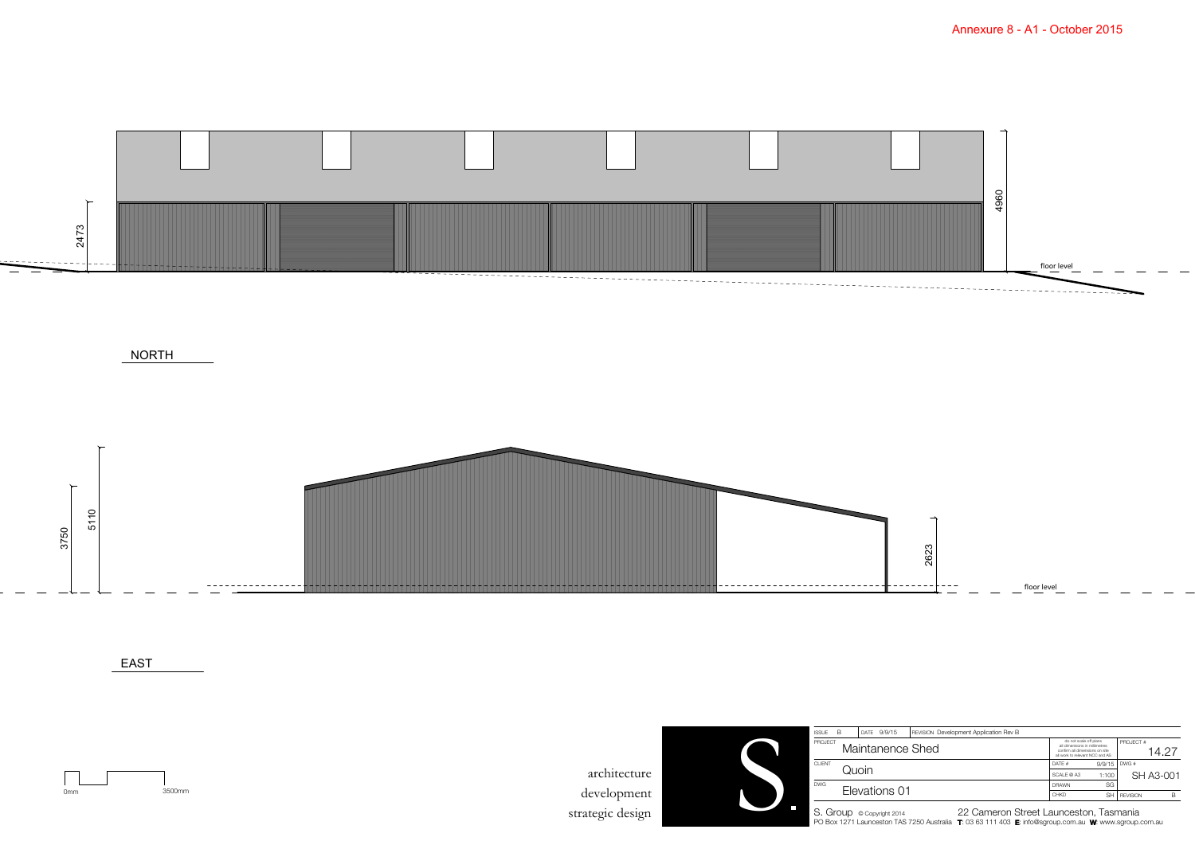

NORTH





EAST

0mm 3500mm

architecture development strategic design



| <b>ISSUE</b>                | B | DATE          | 9/9/15 | <b>REVISION</b> Development Application Rev B |                                                                                                                              |        |                    |   |
|-----------------------------|---|---------------|--------|-----------------------------------------------|------------------------------------------------------------------------------------------------------------------------------|--------|--------------------|---|
| PROJECT<br>Maintanence Shed |   |               |        |                                               | do not scale off plans<br>all dimensions in millimetres<br>confirm all dimensions on site<br>all work to relevant NCC and AS |        | PROJECT #<br>14 O' |   |
| <b>CLIENT</b>               |   | Quoin         |        |                                               |                                                                                                                              | 9/9/15 | DWG#               |   |
|                             |   |               |        |                                               |                                                                                                                              | 1:100  | SH A3-001          |   |
| <b>DWG</b>                  |   |               |        |                                               | <b>DRAWN</b>                                                                                                                 | SG     |                    |   |
|                             |   | Elevations 01 |        |                                               |                                                                                                                              | SH     | <b>REVISION</b>    | B |
|                             |   |               |        |                                               |                                                                                                                              |        |                    |   |

S. Group © Copyright 2014 22 Cameron Street Launceston, Tasmania<br>PO Box 1271 Launceston TAS 7250 Australia (7:03 63 111 403 & info@sgroup.com.au Wr. www.sgroup.com.au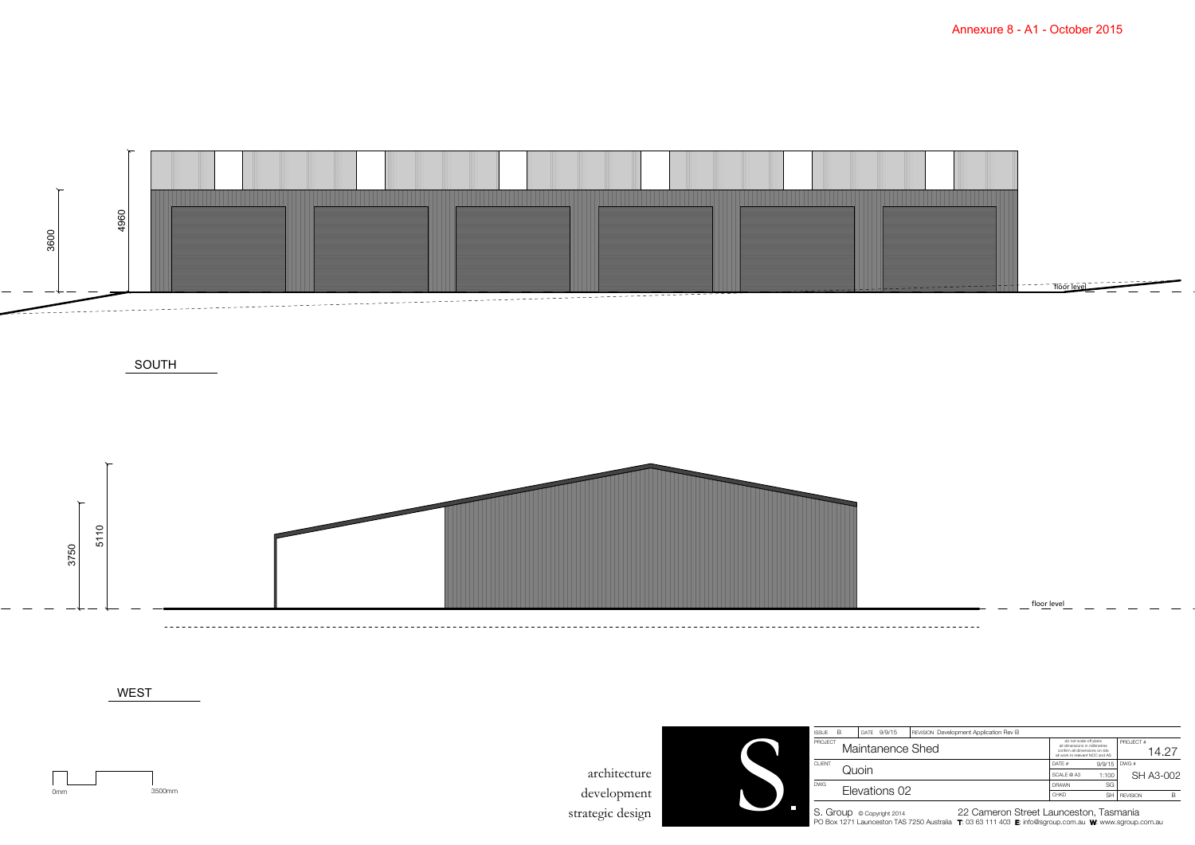

SOUTH

floor level



WEST

0mm 3500mm

architecture development strategic design



| <b>ISSUE</b>  | B.               |               | DATE 9/9/15 | <b>REVISION</b> Development Application Rev B |                                                                                                                              |                |                   |   |
|---------------|------------------|---------------|-------------|-----------------------------------------------|------------------------------------------------------------------------------------------------------------------------------|----------------|-------------------|---|
| PROJECT       | Maintanence Shed |               |             |                                               | do not scale off plans<br>all dimensions in millimetres<br>confirm all dimensions on site<br>all work to relevant NCC and AS |                | PROJECT #<br>14 P |   |
| <b>CLIENT</b> |                  | Quoin         |             |                                               |                                                                                                                              | $9/9/15$ DWG # |                   |   |
|               |                  |               |             |                                               |                                                                                                                              | 1:100          | SH A3-002         |   |
| DWG.          |                  |               |             |                                               | <b>DRAWN</b>                                                                                                                 | SG             |                   |   |
|               |                  | Elevations 02 |             |                                               |                                                                                                                              | SH             | <b>REVISION</b>   | B |
|               |                  |               |             |                                               |                                                                                                                              |                |                   |   |

S. Group © Copyright 2014 22 Cameron Street Launceston, Tasmania<br>PO Box 1271 Launceston TAS 7250 Australia (7:03 63 111 403 & info@sgroup.com.au Wr. www.sgroup.com.au